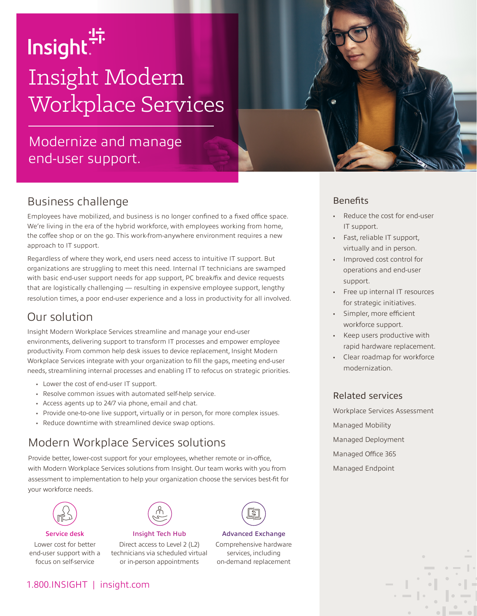# Insight.<sup>"</sup> Insight Modern Workplace Services

# Modernize and manage end-user support.

## Business challenge

Employees have mobilized, and business is no longer confined to a fixed office space. We're living in the era of the hybrid workforce, with employees working from home, the coffee shop or on the go. This work-from-anywhere environment requires a new approach to IT support.

Regardless of where they work, end users need access to intuitive IT support. But organizations are struggling to meet this need. Internal IT technicians are swamped with basic end-user support needs for app support, PC break/fix and device requests that are logistically challenging — resulting in expensive employee support, lengthy resolution times, a poor end-user experience and a loss in productivity for all involved.

### Our solution

Insight Modern Workplace Services streamline and manage your end-user environments, delivering support to transform IT processes and empower employee productivity. From common help desk issues to device replacement, Insight Modern Workplace Services integrate with your organization to fill the gaps, meeting end-user needs, streamlining internal processes and enabling IT to refocus on strategic priorities.

- Lower the cost of end-user IT support.
- Resolve common issues with automated self-help service.
- Access agents up to 24/7 via phone, email and chat.
- Provide one-to-one live support, virtually or in person, for more complex issues.
- Reduce downtime with streamlined device swap options.

# Modern Workplace Services solutions

Provide better, lower-cost support for your employees, whether remote or in-office, with Modern Workplace Services solutions from Insight. Our team works with you from assessment to implementation to help your organization choose the services best-fit for your workforce needs.



Service desk

Lower cost for better end-user support with a focus on self-service



Insight Tech Hub Direct access to Level 2 (L2) technicians via scheduled virtual

or in-person appointments



Advanced Exchange Comprehensive hardware services, including on-demand replacement



- Reduce the cost for end-user IT support.
- Fast, reliable IT support, virtually and in person.
- Improved cost control for operations and end-user support.
- Free up internal IT resources for strategic initiatives.
- Simpler, more efficient workforce support.
- Keep users productive with rapid hardware replacement.
- Clear roadmap for workforce modernization.

#### Related services

Workplace Services Assessment Managed Mobility Managed Deployment Managed Office 365 Managed Endpoint

#### 1.800.INSIGHT | insight.com